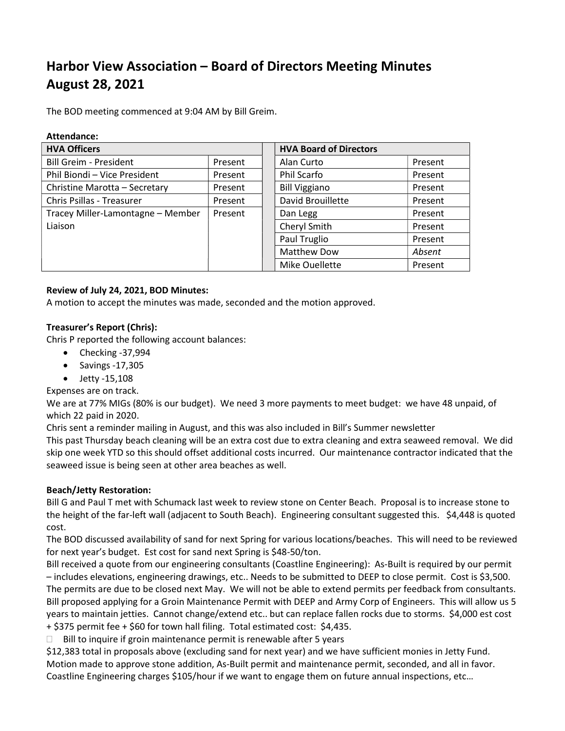# Harbor View Association – Board of Directors Meeting Minutes August 28, 2021

The BOD meeting commenced at 9:04 AM by Bill Greim.

| Attendance:                       |         |                               |         |
|-----------------------------------|---------|-------------------------------|---------|
| <b>HVA Officers</b>               |         | <b>HVA Board of Directors</b> |         |
| <b>Bill Greim - President</b>     | Present | Alan Curto                    | Present |
| Phil Biondi - Vice President      | Present | Phil Scarfo                   | Present |
| Christine Marotta - Secretary     | Present | <b>Bill Viggiano</b>          | Present |
| Chris Psillas - Treasurer         | Present | David Brouillette             | Present |
| Tracey Miller-Lamontagne - Member | Present | Dan Legg                      | Present |
| Liaison                           |         | Cheryl Smith                  | Present |
|                                   |         | Paul Truglio                  | Present |
|                                   |         | <b>Matthew Dow</b>            | Absent  |
|                                   |         | Mike Ouellette                | Present |

#### Review of July 24, 2021, BOD Minutes:

A motion to accept the minutes was made, seconded and the motion approved.

### Treasurer's Report (Chris):

Chris P reported the following account balances:

- $\bullet$  Checking -37,994
- $\bullet$  Savings -17,305
- $\bullet$  Jetty -15,108
- Expenses are on track.

We are at 77% MIGs (80% is our budget). We need 3 more payments to meet budget: we have 48 unpaid, of which 22 paid in 2020.

Chris sent a reminder mailing in August, and this was also included in Bill's Summer newsletter

This past Thursday beach cleaning will be an extra cost due to extra cleaning and extra seaweed removal. We did skip one week YTD so this should offset additional costs incurred. Our maintenance contractor indicated that the seaweed issue is being seen at other area beaches as well.

# Beach/Jetty Restoration:

Bill G and Paul T met with Schumack last week to review stone on Center Beach. Proposal is to increase stone to the height of the far-left wall (adjacent to South Beach). Engineering consultant suggested this. \$4,448 is quoted cost.

The BOD discussed availability of sand for next Spring for various locations/beaches. This will need to be reviewed for next year's budget. Est cost for sand next Spring is \$48-50/ton.

Bill received a quote from our engineering consultants (Coastline Engineering): As-Built is required by our permit – includes elevations, engineering drawings, etc.. Needs to be submitted to DEEP to close permit. Cost is \$3,500. The permits are due to be closed next May. We will not be able to extend permits per feedback from consultants. Bill proposed applying for a Groin Maintenance Permit with DEEP and Army Corp of Engineers. This will allow us 5 years to maintain jetties. Cannot change/extend etc.. but can replace fallen rocks due to storms. \$4,000 est cost + \$375 permit fee + \$60 for town hall filing. Total estimated cost: \$4,435.

 $\Box$  Bill to inquire if groin maintenance permit is renewable after 5 years

\$12,383 total in proposals above (excluding sand for next year) and we have sufficient monies in Jetty Fund. Motion made to approve stone addition, As-Built permit and maintenance permit, seconded, and all in favor. Coastline Engineering charges \$105/hour if we want to engage them on future annual inspections, etc…